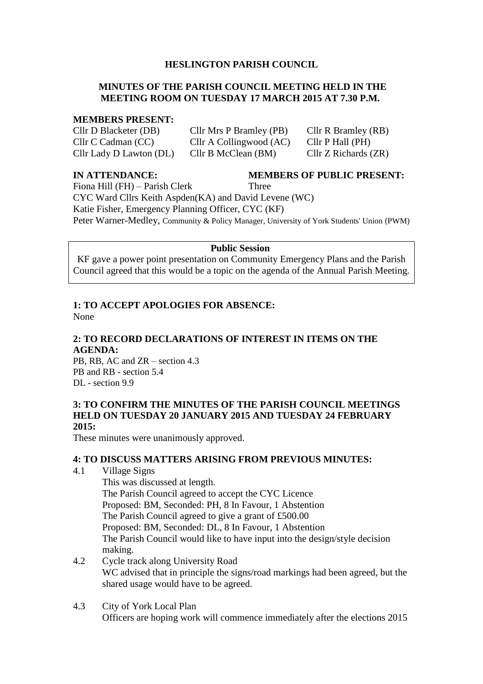#### **HESLINGTON PARISH COUNCIL**

#### **MINUTES OF THE PARISH COUNCIL MEETING HELD IN THE MEETING ROOM ON TUESDAY 17 MARCH 2015 AT 7.30 P.M.**

#### **MEMBERS PRESENT:**

Cllr D Blacketer (DB) Cllr Mrs P Bramley (PB) Cllr R Bramley (RB) Cllr C Cadman (CC) Cllr A Collingwood (AC) Cllr P Hall (PH) Cllr Lady D Lawton (DL) Cllr B McClean (BM) Cllr Z Richards (ZR)

#### **IN ATTENDANCE: MEMBERS OF PUBLIC PRESENT:**

Fiona Hill (FH) – Parish Clerk Three CYC Ward Cllrs Keith Aspden(KA) and David Levene (WC) Katie Fisher, Emergency Planning Officer, CYC (KF) Peter Warner-Medley, Community & Policy Manager, University of York Students' Union (PWM)

#### **Public Session**

KF gave a power point presentation on Community Emergency Plans and the Parish Council agreed that this would be a topic on the agenda of the Annual Parish Meeting.

# **1: TO ACCEPT APOLOGIES FOR ABSENCE:**

None

#### **2: TO RECORD DECLARATIONS OF INTEREST IN ITEMS ON THE AGENDA:**

PB, RB, AC and ZR – section 4.3 PB and RB - section 5.4 DL - section 9.9

#### **3: TO CONFIRM THE MINUTES OF THE PARISH COUNCIL MEETINGS HELD ON TUESDAY 20 JANUARY 2015 AND TUESDAY 24 FEBRUARY 2015:**

These minutes were unanimously approved.

#### **4: TO DISCUSS MATTERS ARISING FROM PREVIOUS MINUTES:**

- 4.1 Village Signs
	- This was discussed at length. The Parish Council agreed to accept the CYC Licence Proposed: BM, Seconded: PH, 8 In Favour, 1 Abstention The Parish Council agreed to give a grant of £500.00 Proposed: BM, Seconded: DL, 8 In Favour, 1 Abstention The Parish Council would like to have input into the design/style decision making.

## 4.2 Cycle track along University Road WC advised that in principle the signs/road markings had been agreed, but the shared usage would have to be agreed.

4.3 City of York Local Plan Officers are hoping work will commence immediately after the elections 2015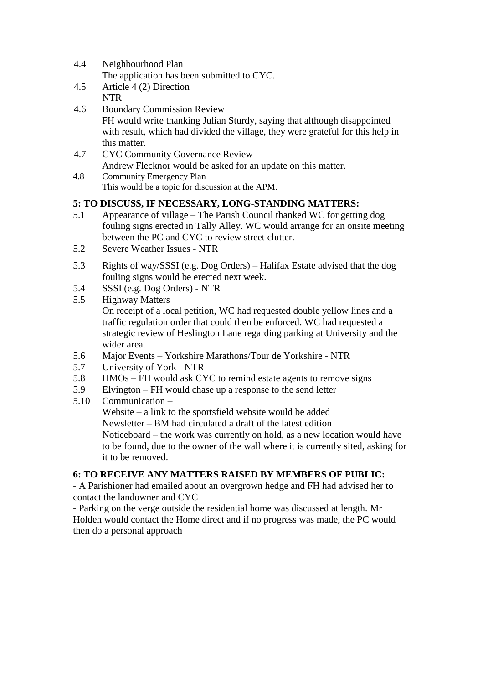- 4.4 Neighbourhood Plan The application has been submitted to CYC.
- 4.5 Article 4 (2) Direction NTR
- 4.6 Boundary Commission Review FH would write thanking Julian Sturdy, saying that although disappointed with result, which had divided the village, they were grateful for this help in this matter.
- 4.7 CYC Community Governance Review Andrew Flecknor would be asked for an update on this matter.
- 4.8 Community Emergency Plan This would be a topic for discussion at the APM.

# **5: TO DISCUSS, IF NECESSARY, LONG-STANDING MATTERS:**

- 5.1 Appearance of village The Parish Council thanked WC for getting dog fouling signs erected in Tally Alley. WC would arrange for an onsite meeting between the PC and CYC to review street clutter.
- 5.2 Severe Weather Issues NTR
- 5.3 Rights of way/SSSI (e.g. Dog Orders) Halifax Estate advised that the dog fouling signs would be erected next week.
- 5.4 SSSI (e.g. Dog Orders) NTR
- 5.5 Highway Matters On receipt of a local petition, WC had requested double yellow lines and a traffic regulation order that could then be enforced. WC had requested a strategic review of Heslington Lane regarding parking at University and the wider area.
- 5.6 Major Events Yorkshire Marathons/Tour de Yorkshire NTR
- 5.7 University of York NTR
- 5.8 HMOs FH would ask CYC to remind estate agents to remove signs
- 5.9 Elvington FH would chase up a response to the send letter
- 5.10 Communication –

Website – a link to the sportsfield website would be added Newsletter – BM had circulated a draft of the latest edition Noticeboard – the work was currently on hold, as a new location would have to be found, due to the owner of the wall where it is currently sited, asking for it to be removed.

## **6: TO RECEIVE ANY MATTERS RAISED BY MEMBERS OF PUBLIC:**

- A Parishioner had emailed about an overgrown hedge and FH had advised her to contact the landowner and CYC

- Parking on the verge outside the residential home was discussed at length. Mr Holden would contact the Home direct and if no progress was made, the PC would then do a personal approach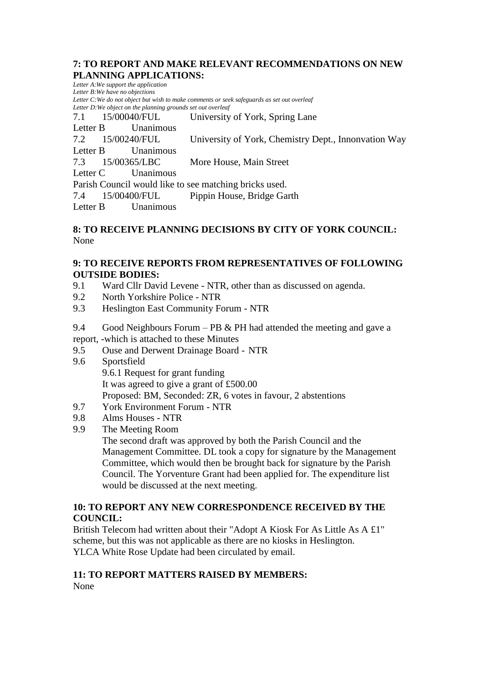#### **7: TO REPORT AND MAKE RELEVANT RECOMMENDATIONS ON NEW PLANNING APPLICATIONS:**

| Letter A: We support the application                         |                                                                                             |
|--------------------------------------------------------------|---------------------------------------------------------------------------------------------|
| Letter B: We have no objections                              |                                                                                             |
|                                                              | Letter C: We do not object but wish to make comments or seek safeguards as set out overleaf |
| Letter D: We object on the planning grounds set out overleaf |                                                                                             |
| 7.1 15/00040/FUL                                             | University of York, Spring Lane                                                             |
| Letter B<br>Unanimous                                        |                                                                                             |
| 7.2 15/00240/FUL                                             | University of York, Chemistry Dept., Innonvation Way                                        |
| Letter B<br>Unanimous                                        |                                                                                             |
| 7.3 15/00365/LBC                                             | More House, Main Street                                                                     |
| Letter C<br>Unanimous                                        |                                                                                             |
| Parish Council would like to see matching bricks used.       |                                                                                             |
| 7.4 15/00400/FUL                                             | Pippin House, Bridge Garth                                                                  |
| Letter B<br>Unanimous                                        |                                                                                             |

## **8: TO RECEIVE PLANNING DECISIONS BY CITY OF YORK COUNCIL:** None

#### **9: TO RECEIVE REPORTS FROM REPRESENTATIVES OF FOLLOWING OUTSIDE BODIES:**

- 9.1 Ward Cllr David Levene NTR, other than as discussed on agenda.
- 9.2 North Yorkshire Police NTR
- 9.3 Heslington East Community Forum NTR
- 9.4 Good Neighbours Forum PB & PH had attended the meeting and gave a
- report, -which is attached to these Minutes
- 9.5 Ouse and Derwent Drainage Board NTR
- 9.6 Sportsfield 9.6.1 Request for grant funding It was agreed to give a grant of £500.00 Proposed: BM, Seconded: ZR, 6 votes in favour, 2 abstentions
- 9.7 York Environment Forum NTR
- 9.8 Alms Houses NTR
- 9.9 The Meeting Room

The second draft was approved by both the Parish Council and the Management Committee. DL took a copy for signature by the Management Committee, which would then be brought back for signature by the Parish Council. The Yorventure Grant had been applied for. The expenditure list would be discussed at the next meeting.

#### **10: TO REPORT ANY NEW CORRESPONDENCE RECEIVED BY THE COUNCIL:**

British Telecom had written about their "Adopt A Kiosk For As Little As A £1" scheme, but this was not applicable as there are no kiosks in Heslington. YLCA White Rose Update had been circulated by email.

#### **11: TO REPORT MATTERS RAISED BY MEMBERS:** None